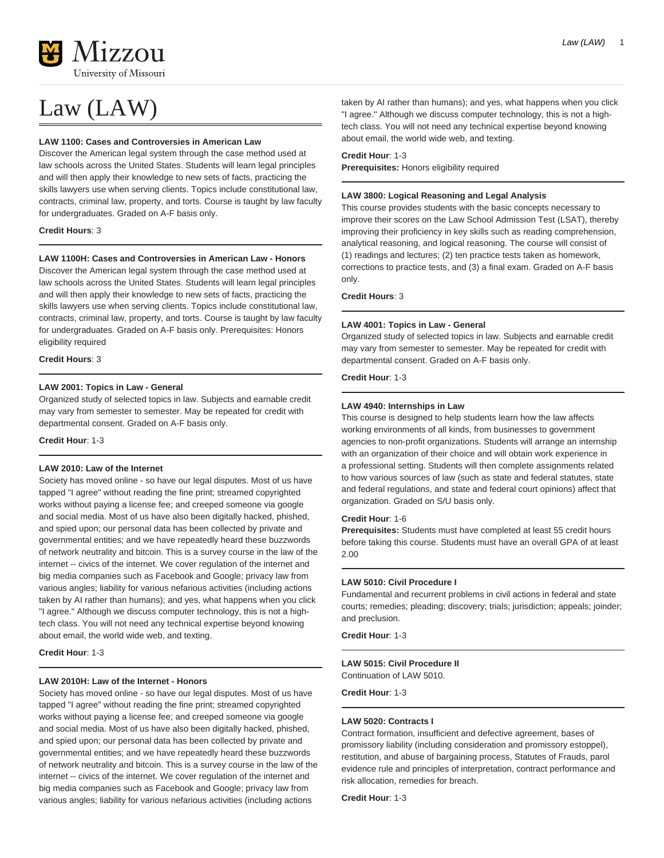

# Law (LAW)

### **LAW 1100: Cases and Controversies in American Law**

Discover the American legal system through the case method used at law schools across the United States. Students will learn legal principles and will then apply their knowledge to new sets of facts, practicing the skills lawyers use when serving clients. Topics include constitutional law, contracts, criminal law, property, and torts. Course is taught by law faculty for undergraduates. Graded on A-F basis only.

### **Credit Hours**: 3

# **LAW 1100H: Cases and Controversies in American Law - Honors**

Discover the American legal system through the case method used at law schools across the United States. Students will learn legal principles and will then apply their knowledge to new sets of facts, practicing the skills lawyers use when serving clients. Topics include constitutional law, contracts, criminal law, property, and torts. Course is taught by law faculty for undergraduates. Graded on A-F basis only. Prerequisites: Honors eligibility required

#### **Credit Hours**: 3

# **LAW 2001: Topics in Law - General**

Organized study of selected topics in law. Subjects and earnable credit may vary from semester to semester. May be repeated for credit with departmental consent. Graded on A-F basis only.

**Credit Hour**: 1-3

# **LAW 2010: Law of the Internet**

Society has moved online - so have our legal disputes. Most of us have tapped "I agree" without reading the fine print; streamed copyrighted works without paying a license fee; and creeped someone via google and social media. Most of us have also been digitally hacked, phished, and spied upon; our personal data has been collected by private and governmental entities; and we have repeatedly heard these buzzwords of network neutrality and bitcoin. This is a survey course in the law of the internet -- civics of the internet. We cover regulation of the internet and big media companies such as Facebook and Google; privacy law from various angles; liability for various nefarious activities (including actions taken by AI rather than humans); and yes, what happens when you click "I agree." Although we discuss computer technology, this is not a hightech class. You will not need any technical expertise beyond knowing about email, the world wide web, and texting.

#### **Credit Hour**: 1-3

#### **LAW 2010H: Law of the Internet - Honors**

Society has moved online - so have our legal disputes. Most of us have tapped "I agree" without reading the fine print; streamed copyrighted works without paying a license fee; and creeped someone via google and social media. Most of us have also been digitally hacked, phished, and spied upon; our personal data has been collected by private and governmental entities; and we have repeatedly heard these buzzwords of network neutrality and bitcoin. This is a survey course in the law of the internet -- civics of the internet. We cover regulation of the internet and big media companies such as Facebook and Google; privacy law from various angles; liability for various nefarious activities (including actions

taken by AI rather than humans); and yes, what happens when you click "I agree." Although we discuss computer technology, this is not a hightech class. You will not need any technical expertise beyond knowing about email, the world wide web, and texting.

### **Credit Hour**: 1-3

**Prerequisites:** Honors eligibility required

# **LAW 3800: Logical Reasoning and Legal Analysis**

This course provides students with the basic concepts necessary to improve their scores on the Law School Admission Test (LSAT), thereby improving their proficiency in key skills such as reading comprehension, analytical reasoning, and logical reasoning. The course will consist of (1) readings and lectures; (2) ten practice tests taken as homework, corrections to practice tests, and (3) a final exam. Graded on A-F basis only.

# **Credit Hours**: 3

### **LAW 4001: Topics in Law - General**

Organized study of selected topics in law. Subjects and earnable credit may vary from semester to semester. May be repeated for credit with departmental consent. Graded on A-F basis only.

# **Credit Hour**: 1-3

### **LAW 4940: Internships in Law**

This course is designed to help students learn how the law affects working environments of all kinds, from businesses to government agencies to non-profit organizations. Students will arrange an internship with an organization of their choice and will obtain work experience in a professional setting. Students will then complete assignments related to how various sources of law (such as state and federal statutes, state and federal regulations, and state and federal court opinions) affect that organization. Graded on S/U basis only.

### **Credit Hour**: 1-6

**Prerequisites:** Students must have completed at least 55 credit hours before taking this course. Students must have an overall GPA of at least 2.00

#### **LAW 5010: Civil Procedure I**

Fundamental and recurrent problems in civil actions in federal and state courts; remedies; pleading; discovery; trials; jurisdiction; appeals; joinder; and preclusion.

**Credit Hour**: 1-3

# **LAW 5015: Civil Procedure II**

Continuation of LAW 5010.

**Credit Hour**: 1-3

# **LAW 5020: Contracts I**

Contract formation, insufficient and defective agreement, bases of promissory liability (including consideration and promissory estoppel), restitution, and abuse of bargaining process, Statutes of Frauds, parol evidence rule and principles of interpretation, contract performance and risk allocation, remedies for breach.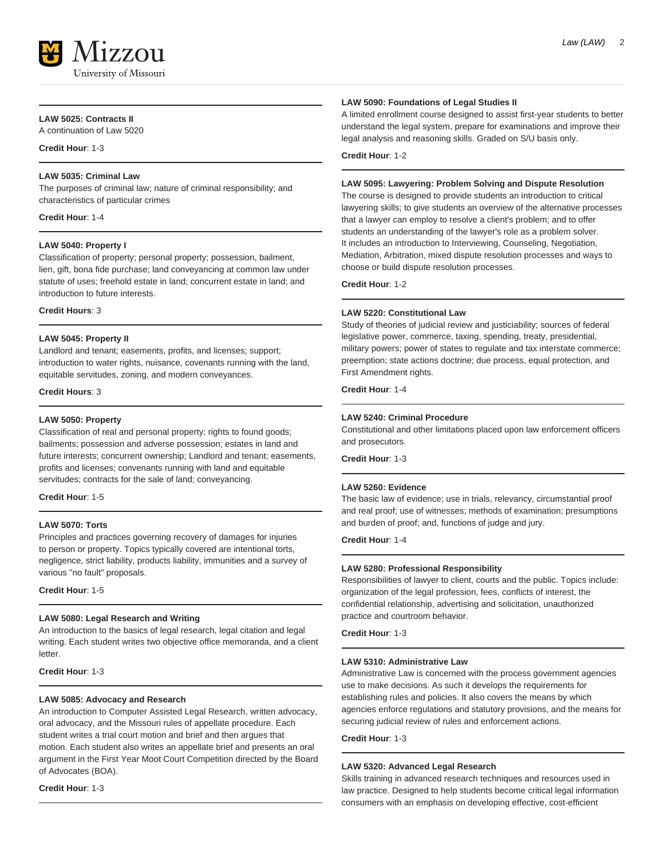

# **LAW 5025: Contracts II**

A continuation of Law 5020

**Credit Hour**: 1-3

# **LAW 5035: Criminal Law**

The purposes of criminal law; nature of criminal responsibility; and characteristics of particular crimes

**Credit Hour**: 1-4

# **LAW 5040: Property I**

Classification of property; personal property; possession, bailment, lien, gift, bona fide purchase; land conveyancing at common law under statute of uses; freehold estate in land; concurrent estate in land; and introduction to future interests.

**Credit Hours**: 3

### **LAW 5045: Property II**

Landlord and tenant; easements, profits, and licenses; support; introduction to water rights, nuisance, covenants running with the land, equitable servitudes, zoning, and modern conveyances.

**Credit Hours**: 3

#### **LAW 5050: Property**

Classification of real and personal property; rights to found goods; bailments; possession and adverse possession; estates in land and future interests; concurrent ownership; Landlord and tenant; easements, profits and licenses; convenants running with land and equitable servitudes; contracts for the sale of land; conveyancing.

**Credit Hour**: 1-5

# **LAW 5070: Torts**

Principles and practices governing recovery of damages for injuries to person or property. Topics typically covered are intentional torts, negligence, strict liability, products liability, immunities and a survey of various "no fault" proposals.

**Credit Hour**: 1-5

# **LAW 5080: Legal Research and Writing**

An introduction to the basics of legal research, legal citation and legal writing. Each student writes two objective office memoranda, and a client letter.

**Credit Hour**: 1-3

### **LAW 5085: Advocacy and Research**

An introduction to Computer Assisted Legal Research, written advocacy, oral advocacy, and the Missouri rules of appellate procedure. Each student writes a trial court motion and brief and then argues that motion. Each student also writes an appellate brief and presents an oral argument in the First Year Moot Court Competition directed by the Board of Advocates (BOA).

**Credit Hour**: 1-3

# **LAW 5090: Foundations of Legal Studies II**

A limited enrollment course designed to assist first-year students to better understand the legal system, prepare for examinations and improve their legal analysis and reasoning skills. Graded on S/U basis only.

**Credit Hour**: 1-2

# **LAW 5095: Lawyering: Problem Solving and Dispute Resolution**

The course is designed to provide students an introduction to critical lawyering skills; to give students an overview of the alternative processes that a lawyer can employ to resolve a client's problem; and to offer students an understanding of the lawyer's role as a problem solver. It includes an introduction to Interviewing, Counseling, Negotiation, Mediation, Arbitration, mixed dispute resolution processes and ways to choose or build dispute resolution processes.

**Credit Hour**: 1-2

# **LAW 5220: Constitutional Law**

Study of theories of judicial review and justiciability; sources of federal legislative power, commerce, taxing, spending, treaty, presidential, military powers; power of states to regulate and tax interstate commerce; preemption; state actions doctrine; due process, equal protection, and First Amendment rights.

**Credit Hour**: 1-4

# **LAW 5240: Criminal Procedure**

Constitutional and other limitations placed upon law enforcement officers and prosecutors.

**Credit Hour**: 1-3

#### **LAW 5260: Evidence**

The basic law of evidence; use in trials, relevancy, circumstantial proof and real proof; use of witnesses; methods of examination; presumptions and burden of proof; and, functions of judge and jury.

**Credit Hour**: 1-4

#### **LAW 5280: Professional Responsibility**

Responsibilities of lawyer to client, courts and the public. Topics include: organization of the legal profession, fees, conflicts of interest, the confidential relationship, advertising and solicitation, unauthorized practice and courtroom behavior.

**Credit Hour**: 1-3

# **LAW 5310: Administrative Law**

Administrative Law is concerned with the process government agencies use to make decisions. As such it develops the requirements for establishing rules and policies. It also covers the means by which agencies enforce regulations and statutory provisions, and the means for securing judicial review of rules and enforcement actions.

**Credit Hour**: 1-3

### **LAW 5320: Advanced Legal Research**

Skills training in advanced research techniques and resources used in law practice. Designed to help students become critical legal information consumers with an emphasis on developing effective, cost-efficient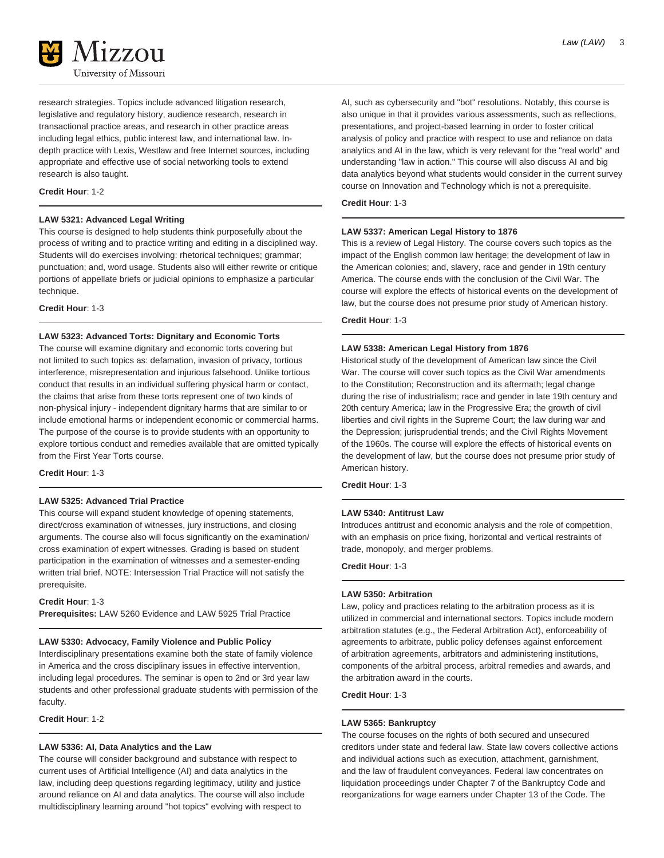

research strategies. Topics include advanced litigation research, legislative and regulatory history, audience research, research in transactional practice areas, and research in other practice areas including legal ethics, public interest law, and international law. Indepth practice with Lexis, Westlaw and free Internet sources, including appropriate and effective use of social networking tools to extend research is also taught.

### **Credit Hour**: 1-2

# **LAW 5321: Advanced Legal Writing**

This course is designed to help students think purposefully about the process of writing and to practice writing and editing in a disciplined way. Students will do exercises involving: rhetorical techniques; grammar; punctuation; and, word usage. Students also will either rewrite or critique portions of appellate briefs or judicial opinions to emphasize a particular technique.

**Credit Hour**: 1-3

### **LAW 5323: Advanced Torts: Dignitary and Economic Torts**

The course will examine dignitary and economic torts covering but not limited to such topics as: defamation, invasion of privacy, tortious interference, misrepresentation and injurious falsehood. Unlike tortious conduct that results in an individual suffering physical harm or contact, the claims that arise from these torts represent one of two kinds of non-physical injury - independent dignitary harms that are similar to or include emotional harms or independent economic or commercial harms. The purpose of the course is to provide students with an opportunity to explore tortious conduct and remedies available that are omitted typically from the First Year Torts course.

**Credit Hour**: 1-3

# **LAW 5325: Advanced Trial Practice**

This course will expand student knowledge of opening statements, direct/cross examination of witnesses, jury instructions, and closing arguments. The course also will focus significantly on the examination/ cross examination of expert witnesses. Grading is based on student participation in the examination of witnesses and a semester-ending written trial brief. NOTE: Intersession Trial Practice will not satisfy the prerequisite.

**Credit Hour**: 1-3

**Prerequisites:** LAW 5260 Evidence and LAW 5925 Trial Practice

# **LAW 5330: Advocacy, Family Violence and Public Policy**

Interdisciplinary presentations examine both the state of family violence in America and the cross disciplinary issues in effective intervention, including legal procedures. The seminar is open to 2nd or 3rd year law students and other professional graduate students with permission of the faculty.

**Credit Hour**: 1-2

# **LAW 5336: AI, Data Analytics and the Law**

The course will consider background and substance with respect to current uses of Artificial Intelligence (AI) and data analytics in the law, including deep questions regarding legitimacy, utility and justice around reliance on AI and data analytics. The course will also include multidisciplinary learning around "hot topics" evolving with respect to

AI, such as cybersecurity and "bot" resolutions. Notably, this course is also unique in that it provides various assessments, such as reflections, presentations, and project-based learning in order to foster critical analysis of policy and practice with respect to use and reliance on data analytics and AI in the law, which is very relevant for the "real world" and understanding "law in action." This course will also discuss AI and big data analytics beyond what students would consider in the current survey course on Innovation and Technology which is not a prerequisite.

**Credit Hour**: 1-3

# **LAW 5337: American Legal History to 1876**

This is a review of Legal History. The course covers such topics as the impact of the English common law heritage; the development of law in the American colonies; and, slavery, race and gender in 19th century America. The course ends with the conclusion of the Civil War. The course will explore the effects of historical events on the development of law, but the course does not presume prior study of American history.

**Credit Hour**: 1-3

#### **LAW 5338: American Legal History from 1876**

Historical study of the development of American law since the Civil War. The course will cover such topics as the Civil War amendments to the Constitution; Reconstruction and its aftermath; legal change during the rise of industrialism; race and gender in late 19th century and 20th century America; law in the Progressive Era; the growth of civil liberties and civil rights in the Supreme Court; the law during war and the Depression; jurisprudential trends; and the Civil Rights Movement of the 1960s. The course will explore the effects of historical events on the development of law, but the course does not presume prior study of American history.

**Credit Hour**: 1-3

# **LAW 5340: Antitrust Law**

Introduces antitrust and economic analysis and the role of competition, with an emphasis on price fixing, horizontal and vertical restraints of trade, monopoly, and merger problems.

**Credit Hour**: 1-3

### **LAW 5350: Arbitration**

Law, policy and practices relating to the arbitration process as it is utilized in commercial and international sectors. Topics include modern arbitration statutes (e.g., the Federal Arbitration Act), enforceability of agreements to arbitrate, public policy defenses against enforcement of arbitration agreements, arbitrators and administering institutions, components of the arbitral process, arbitral remedies and awards, and the arbitration award in the courts.

**Credit Hour**: 1-3

### **LAW 5365: Bankruptcy**

The course focuses on the rights of both secured and unsecured creditors under state and federal law. State law covers collective actions and individual actions such as execution, attachment, garnishment, and the law of fraudulent conveyances. Federal law concentrates on liquidation proceedings under Chapter 7 of the Bankruptcy Code and reorganizations for wage earners under Chapter 13 of the Code. The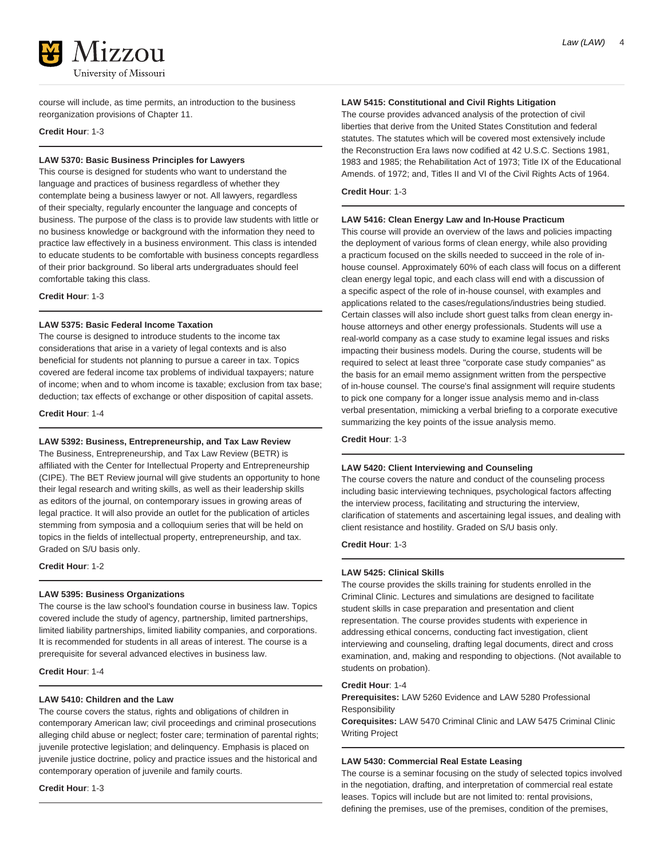

course will include, as time permits, an introduction to the business reorganization provisions of Chapter 11.

**Credit Hour**: 1-3

# **LAW 5370: Basic Business Principles for Lawyers**

This course is designed for students who want to understand the language and practices of business regardless of whether they contemplate being a business lawyer or not. All lawyers, regardless of their specialty, regularly encounter the language and concepts of business. The purpose of the class is to provide law students with little or no business knowledge or background with the information they need to practice law effectively in a business environment. This class is intended to educate students to be comfortable with business concepts regardless of their prior background. So liberal arts undergraduates should feel comfortable taking this class.

**Credit Hour**: 1-3

# **LAW 5375: Basic Federal Income Taxation**

The course is designed to introduce students to the income tax considerations that arise in a variety of legal contexts and is also beneficial for students not planning to pursue a career in tax. Topics covered are federal income tax problems of individual taxpayers; nature of income; when and to whom income is taxable; exclusion from tax base; deduction; tax effects of exchange or other disposition of capital assets.

**Credit Hour**: 1-4

# **LAW 5392: Business, Entrepreneurship, and Tax Law Review**

The Business, Entrepreneurship, and Tax Law Review (BETR) is affiliated with the Center for Intellectual Property and Entrepreneurship (CIPE). The BET Review journal will give students an opportunity to hone their legal research and writing skills, as well as their leadership skills as editors of the journal, on contemporary issues in growing areas of legal practice. It will also provide an outlet for the publication of articles stemming from symposia and a colloquium series that will be held on topics in the fields of intellectual property, entrepreneurship, and tax. Graded on S/U basis only.

# **Credit Hour**: 1-2

# **LAW 5395: Business Organizations**

The course is the law school's foundation course in business law. Topics covered include the study of agency, partnership, limited partnerships, limited liability partnerships, limited liability companies, and corporations. It is recommended for students in all areas of interest. The course is a prerequisite for several advanced electives in business law.

**Credit Hour**: 1-4

# **LAW 5410: Children and the Law**

The course covers the status, rights and obligations of children in contemporary American law; civil proceedings and criminal prosecutions alleging child abuse or neglect; foster care; termination of parental rights; juvenile protective legislation; and delinquency. Emphasis is placed on juvenile justice doctrine, policy and practice issues and the historical and contemporary operation of juvenile and family courts.

**Credit Hour**: 1-3

# **LAW 5415: Constitutional and Civil Rights Litigation**

The course provides advanced analysis of the protection of civil liberties that derive from the United States Constitution and federal statutes. The statutes which will be covered most extensively include the Reconstruction Era laws now codified at 42 U.S.C. Sections 1981, 1983 and 1985; the Rehabilitation Act of 1973; Title IX of the Educational Amends. of 1972; and, Titles II and VI of the Civil Rights Acts of 1964.

**Credit Hour**: 1-3

### **LAW 5416: Clean Energy Law and In-House Practicum**

This course will provide an overview of the laws and policies impacting the deployment of various forms of clean energy, while also providing a practicum focused on the skills needed to succeed in the role of inhouse counsel. Approximately 60% of each class will focus on a different clean energy legal topic, and each class will end with a discussion of a specific aspect of the role of in-house counsel, with examples and applications related to the cases/regulations/industries being studied. Certain classes will also include short guest talks from clean energy inhouse attorneys and other energy professionals. Students will use a real-world company as a case study to examine legal issues and risks impacting their business models. During the course, students will be required to select at least three "corporate case study companies" as the basis for an email memo assignment written from the perspective of in-house counsel. The course's final assignment will require students to pick one company for a longer issue analysis memo and in-class verbal presentation, mimicking a verbal briefing to a corporate executive summarizing the key points of the issue analysis memo.

**Credit Hour**: 1-3

# **LAW 5420: Client Interviewing and Counseling**

The course covers the nature and conduct of the counseling process including basic interviewing techniques, psychological factors affecting the interview process, facilitating and structuring the interview, clarification of statements and ascertaining legal issues, and dealing with client resistance and hostility. Graded on S/U basis only.

**Credit Hour**: 1-3

# **LAW 5425: Clinical Skills**

The course provides the skills training for students enrolled in the Criminal Clinic. Lectures and simulations are designed to facilitate student skills in case preparation and presentation and client representation. The course provides students with experience in addressing ethical concerns, conducting fact investigation, client interviewing and counseling, drafting legal documents, direct and cross examination, and, making and responding to objections. (Not available to students on probation).

# **Credit Hour**: 1-4

**Prerequisites:** LAW 5260 Evidence and LAW 5280 Professional Responsibility

**Corequisites:** LAW 5470 Criminal Clinic and LAW 5475 Criminal Clinic Writing Project

# **LAW 5430: Commercial Real Estate Leasing**

The course is a seminar focusing on the study of selected topics involved in the negotiation, drafting, and interpretation of commercial real estate leases. Topics will include but are not limited to: rental provisions, defining the premises, use of the premises, condition of the premises,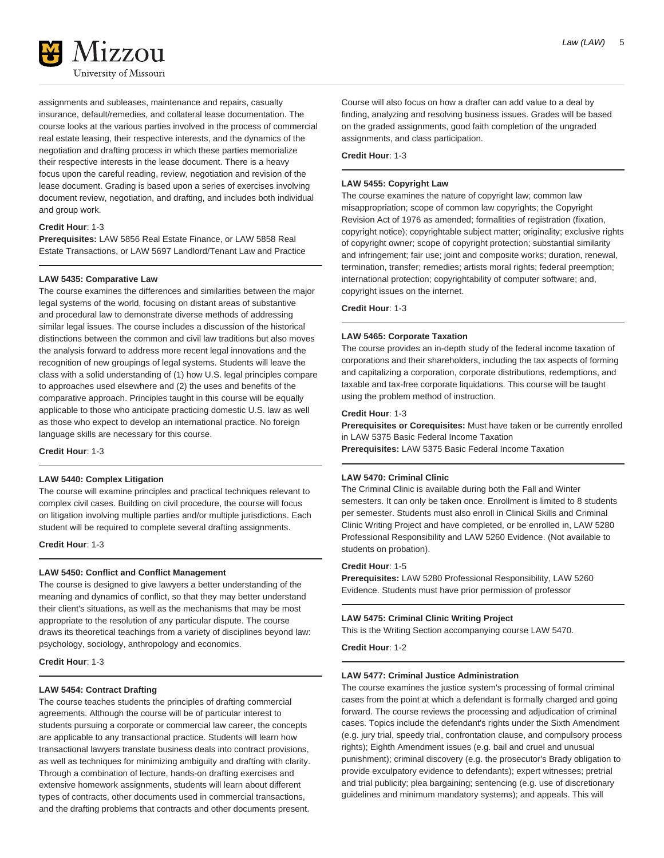

assignments and subleases, maintenance and repairs, casualty insurance, default/remedies, and collateral lease documentation. The course looks at the various parties involved in the process of commercial real estate leasing, their respective interests, and the dynamics of the negotiation and drafting process in which these parties memorialize their respective interests in the lease document. There is a heavy focus upon the careful reading, review, negotiation and revision of the lease document. Grading is based upon a series of exercises involving document review, negotiation, and drafting, and includes both individual and group work.

# **Credit Hour**: 1-3

**Prerequisites:** LAW 5856 Real Estate Finance, or LAW 5858 Real Estate Transactions, or LAW 5697 Landlord/Tenant Law and Practice

# **LAW 5435: Comparative Law**

The course examines the differences and similarities between the major legal systems of the world, focusing on distant areas of substantive and procedural law to demonstrate diverse methods of addressing similar legal issues. The course includes a discussion of the historical distinctions between the common and civil law traditions but also moves the analysis forward to address more recent legal innovations and the recognition of new groupings of legal systems. Students will leave the class with a solid understanding of (1) how U.S. legal principles compare to approaches used elsewhere and (2) the uses and benefits of the comparative approach. Principles taught in this course will be equally applicable to those who anticipate practicing domestic U.S. law as well as those who expect to develop an international practice. No foreign language skills are necessary for this course.

**Credit Hour**: 1-3

#### **LAW 5440: Complex Litigation**

The course will examine principles and practical techniques relevant to complex civil cases. Building on civil procedure, the course will focus on litigation involving multiple parties and/or multiple jurisdictions. Each student will be required to complete several drafting assignments.

**Credit Hour**: 1-3

# **LAW 5450: Conflict and Conflict Management**

The course is designed to give lawyers a better understanding of the meaning and dynamics of conflict, so that they may better understand their client's situations, as well as the mechanisms that may be most appropriate to the resolution of any particular dispute. The course draws its theoretical teachings from a variety of disciplines beyond law: psychology, sociology, anthropology and economics.

**Credit Hour**: 1-3

# **LAW 5454: Contract Drafting**

The course teaches students the principles of drafting commercial agreements. Although the course will be of particular interest to students pursuing a corporate or commercial law career, the concepts are applicable to any transactional practice. Students will learn how transactional lawyers translate business deals into contract provisions, as well as techniques for minimizing ambiguity and drafting with clarity. Through a combination of lecture, hands-on drafting exercises and extensive homework assignments, students will learn about different types of contracts, other documents used in commercial transactions, and the drafting problems that contracts and other documents present.

Course will also focus on how a drafter can add value to a deal by finding, analyzing and resolving business issues. Grades will be based on the graded assignments, good faith completion of the ungraded assignments, and class participation.

**Credit Hour**: 1-3

# **LAW 5455: Copyright Law**

The course examines the nature of copyright law; common law misappropriation; scope of common law copyrights; the Copyright Revision Act of 1976 as amended; formalities of registration (fixation, copyright notice); copyrightable subject matter; originality; exclusive rights of copyright owner; scope of copyright protection; substantial similarity and infringement; fair use; joint and composite works; duration, renewal, termination, transfer; remedies; artists moral rights; federal preemption; international protection; copyrightability of computer software; and, copyright issues on the internet.

**Credit Hour**: 1-3

#### **LAW 5465: Corporate Taxation**

The course provides an in-depth study of the federal income taxation of corporations and their shareholders, including the tax aspects of forming and capitalizing a corporation, corporate distributions, redemptions, and taxable and tax-free corporate liquidations. This course will be taught using the problem method of instruction.

#### **Credit Hour**: 1-3

**Prerequisites or Corequisites:** Must have taken or be currently enrolled in LAW 5375 Basic Federal Income Taxation

**Prerequisites:** LAW 5375 Basic Federal Income Taxation

# **LAW 5470: Criminal Clinic**

The Criminal Clinic is available during both the Fall and Winter semesters. It can only be taken once. Enrollment is limited to 8 students per semester. Students must also enroll in Clinical Skills and Criminal Clinic Writing Project and have completed, or be enrolled in, LAW 5280 Professional Responsibility and LAW 5260 Evidence. (Not available to students on probation).

#### **Credit Hour**: 1-5

**Prerequisites:** LAW 5280 Professional Responsibility, LAW 5260 Evidence. Students must have prior permission of professor

# **LAW 5475: Criminal Clinic Writing Project**

This is the Writing Section accompanying course LAW 5470.

**Credit Hour**: 1-2

# **LAW 5477: Criminal Justice Administration**

The course examines the justice system's processing of formal criminal cases from the point at which a defendant is formally charged and going forward. The course reviews the processing and adjudication of criminal cases. Topics include the defendant's rights under the Sixth Amendment (e.g. jury trial, speedy trial, confrontation clause, and compulsory process rights); Eighth Amendment issues (e.g. bail and cruel and unusual punishment); criminal discovery (e.g. the prosecutor's Brady obligation to provide exculpatory evidence to defendants); expert witnesses; pretrial and trial publicity; plea bargaining; sentencing (e.g. use of discretionary guidelines and minimum mandatory systems); and appeals. This will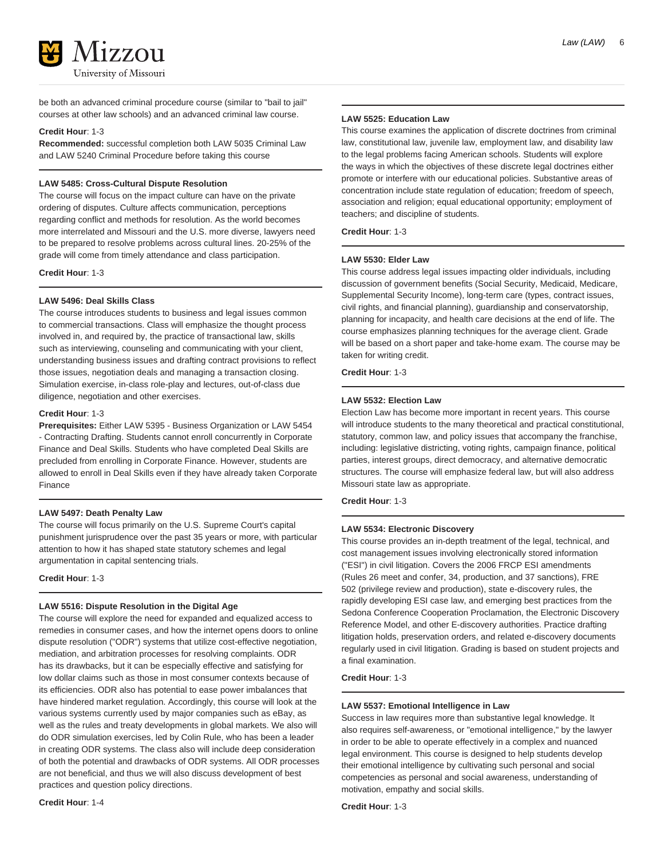

be both an advanced criminal procedure course (similar to "bail to jail" courses at other law schools) and an advanced criminal law course.

### **Credit Hour**: 1-3

**Recommended:** successful completion both LAW 5035 Criminal Law and LAW 5240 Criminal Procedure before taking this course

# **LAW 5485: Cross-Cultural Dispute Resolution**

The course will focus on the impact culture can have on the private ordering of disputes. Culture affects communication, perceptions regarding conflict and methods for resolution. As the world becomes more interrelated and Missouri and the U.S. more diverse, lawyers need to be prepared to resolve problems across cultural lines. 20-25% of the grade will come from timely attendance and class participation.

**Credit Hour**: 1-3

# **LAW 5496: Deal Skills Class**

The course introduces students to business and legal issues common to commercial transactions. Class will emphasize the thought process involved in, and required by, the practice of transactional law, skills such as interviewing, counseling and communicating with your client, understanding business issues and drafting contract provisions to reflect those issues, negotiation deals and managing a transaction closing. Simulation exercise, in-class role-play and lectures, out-of-class due diligence, negotiation and other exercises.

#### **Credit Hour**: 1-3

**Prerequisites:** Either LAW 5395 - Business Organization or LAW 5454 - Contracting Drafting. Students cannot enroll concurrently in Corporate Finance and Deal Skills. Students who have completed Deal Skills are precluded from enrolling in Corporate Finance. However, students are allowed to enroll in Deal Skills even if they have already taken Corporate Finance

# **LAW 5497: Death Penalty Law**

The course will focus primarily on the U.S. Supreme Court's capital punishment jurisprudence over the past 35 years or more, with particular attention to how it has shaped state statutory schemes and legal argumentation in capital sentencing trials.

**Credit Hour**: 1-3

# **LAW 5516: Dispute Resolution in the Digital Age**

The course will explore the need for expanded and equalized access to remedies in consumer cases, and how the internet opens doors to online dispute resolution ("ODR") systems that utilize cost-effective negotiation, mediation, and arbitration processes for resolving complaints. ODR has its drawbacks, but it can be especially effective and satisfying for low dollar claims such as those in most consumer contexts because of its efficiencies. ODR also has potential to ease power imbalances that have hindered market regulation. Accordingly, this course will look at the various systems currently used by major companies such as eBay, as well as the rules and treaty developments in global markets. We also will do ODR simulation exercises, led by Colin Rule, who has been a leader in creating ODR systems. The class also will include deep consideration of both the potential and drawbacks of ODR systems. All ODR processes are not beneficial, and thus we will also discuss development of best practices and question policy directions.

### **Credit Hour**: 1-4

# **LAW 5525: Education Law**

This course examines the application of discrete doctrines from criminal law, constitutional law, juvenile law, employment law, and disability law to the legal problems facing American schools. Students will explore the ways in which the objectives of these discrete legal doctrines either promote or interfere with our educational policies. Substantive areas of concentration include state regulation of education; freedom of speech, association and religion; equal educational opportunity; employment of teachers; and discipline of students.

### **Credit Hour**: 1-3

#### **LAW 5530: Elder Law**

This course address legal issues impacting older individuals, including discussion of government benefits (Social Security, Medicaid, Medicare, Supplemental Security Income), long-term care (types, contract issues, civil rights, and financial planning), guardianship and conservatorship, planning for incapacity, and health care decisions at the end of life. The course emphasizes planning techniques for the average client. Grade will be based on a short paper and take-home exam. The course may be taken for writing credit.

**Credit Hour**: 1-3

# **LAW 5532: Election Law**

Election Law has become more important in recent years. This course will introduce students to the many theoretical and practical constitutional, statutory, common law, and policy issues that accompany the franchise, including: legislative districting, voting rights, campaign finance, political parties, interest groups, direct democracy, and alternative democratic structures. The course will emphasize federal law, but will also address Missouri state law as appropriate.

# **Credit Hour**: 1-3

# **LAW 5534: Electronic Discovery**

This course provides an in-depth treatment of the legal, technical, and cost management issues involving electronically stored information ("ESI") in civil litigation. Covers the 2006 FRCP ESI amendments (Rules 26 meet and confer, 34, production, and 37 sanctions), FRE 502 (privilege review and production), state e-discovery rules, the rapidly developing ESI case law, and emerging best practices from the Sedona Conference Cooperation Proclamation, the Electronic Discovery Reference Model, and other E-discovery authorities. Practice drafting litigation holds, preservation orders, and related e-discovery documents regularly used in civil litigation. Grading is based on student projects and a final examination.

**Credit Hour**: 1-3

#### **LAW 5537: Emotional Intelligence in Law**

Success in law requires more than substantive legal knowledge. It also requires self-awareness, or "emotional intelligence," by the lawyer in order to be able to operate effectively in a complex and nuanced legal environment. This course is designed to help students develop their emotional intelligence by cultivating such personal and social competencies as personal and social awareness, understanding of motivation, empathy and social skills.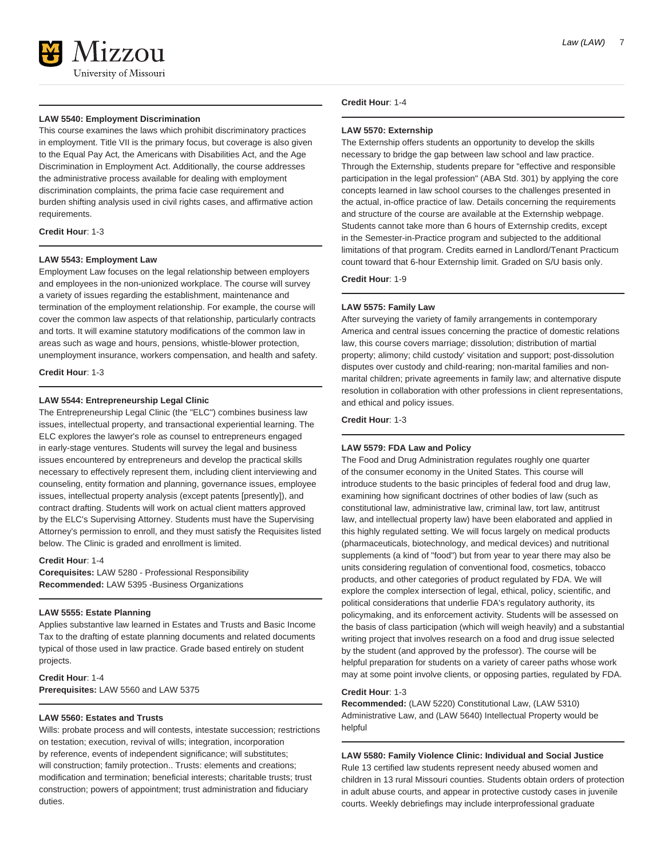

### **LAW 5540: Employment Discrimination**

This course examines the laws which prohibit discriminatory practices in employment. Title VII is the primary focus, but coverage is also given to the Equal Pay Act, the Americans with Disabilities Act, and the Age Discrimination in Employment Act. Additionally, the course addresses the administrative process available for dealing with employment discrimination complaints, the prima facie case requirement and burden shifting analysis used in civil rights cases, and affirmative action requirements.

### **Credit Hour**: 1-3

### **LAW 5543: Employment Law**

Employment Law focuses on the legal relationship between employers and employees in the non-unionized workplace. The course will survey a variety of issues regarding the establishment, maintenance and termination of the employment relationship. For example, the course will cover the common law aspects of that relationship, particularly contracts and torts. It will examine statutory modifications of the common law in areas such as wage and hours, pensions, whistle-blower protection, unemployment insurance, workers compensation, and health and safety.

**Credit Hour**: 1-3

# **LAW 5544: Entrepreneurship Legal Clinic**

The Entrepreneurship Legal Clinic (the "ELC") combines business law issues, intellectual property, and transactional experiential learning. The ELC explores the lawyer's role as counsel to entrepreneurs engaged in early-stage ventures. Students will survey the legal and business issues encountered by entrepreneurs and develop the practical skills necessary to effectively represent them, including client interviewing and counseling, entity formation and planning, governance issues, employee issues, intellectual property analysis (except patents [presently]), and contract drafting. Students will work on actual client matters approved by the ELC's Supervising Attorney. Students must have the Supervising Attorney's permission to enroll, and they must satisfy the Requisites listed below. The Clinic is graded and enrollment is limited.

### **Credit Hour**: 1-4

**Corequisites:** LAW 5280 - Professional Responsibility **Recommended:** LAW 5395 -Business Organizations

# **LAW 5555: Estate Planning**

Applies substantive law learned in Estates and Trusts and Basic Income Tax to the drafting of estate planning documents and related documents typical of those used in law practice. Grade based entirely on student projects.

**Credit Hour**: 1-4 **Prerequisites:** LAW 5560 and LAW 5375

# **LAW 5560: Estates and Trusts**

Wills: probate process and will contests, intestate succession; restrictions on testation; execution, revival of wills; integration, incorporation by reference, events of independent significance; will substitutes; will construction; family protection.. Trusts: elements and creations; modification and termination; beneficial interests; charitable trusts; trust construction; powers of appointment; trust administration and fiduciary duties.

### **Credit Hour**: 1-4

### **LAW 5570: Externship**

The Externship offers students an opportunity to develop the skills necessary to bridge the gap between law school and law practice. Through the Externship, students prepare for "effective and responsible participation in the legal profession" (ABA Std. 301) by applying the core concepts learned in law school courses to the challenges presented in the actual, in-office practice of law. Details concerning the requirements and structure of the course are available at the Externship webpage. Students cannot take more than 6 hours of Externship credits, except in the Semester-in-Practice program and subjected to the additional limitations of that program. Credits earned in Landlord/Tenant Practicum count toward that 6-hour Externship limit. Graded on S/U basis only.

**Credit Hour**: 1-9

# **LAW 5575: Family Law**

After surveying the variety of family arrangements in contemporary America and central issues concerning the practice of domestic relations law, this course covers marriage; dissolution; distribution of martial property; alimony; child custody' visitation and support; post-dissolution disputes over custody and child-rearing; non-marital families and nonmarital children; private agreements in family law; and alternative dispute resolution in collaboration with other professions in client representations, and ethical and policy issues.

**Credit Hour**: 1-3

# **LAW 5579: FDA Law and Policy**

The Food and Drug Administration regulates roughly one quarter of the consumer economy in the United States. This course will introduce students to the basic principles of federal food and drug law, examining how significant doctrines of other bodies of law (such as constitutional law, administrative law, criminal law, tort law, antitrust law, and intellectual property law) have been elaborated and applied in this highly regulated setting. We will focus largely on medical products (pharmaceuticals, biotechnology, and medical devices) and nutritional supplements (a kind of "food") but from year to year there may also be units considering regulation of conventional food, cosmetics, tobacco products, and other categories of product regulated by FDA. We will explore the complex intersection of legal, ethical, policy, scientific, and political considerations that underlie FDA's regulatory authority, its policymaking, and its enforcement activity. Students will be assessed on the basis of class participation (which will weigh heavily) and a substantial writing project that involves research on a food and drug issue selected by the student (and approved by the professor). The course will be helpful preparation for students on a variety of career paths whose work may at some point involve clients, or opposing parties, regulated by FDA.

# **Credit Hour**: 1-3

**Recommended:** (LAW 5220) Constitutional Law, (LAW 5310) Administrative Law, and (LAW 5640) Intellectual Property would be helpful

**LAW 5580: Family Violence Clinic: Individual and Social Justice** Rule 13 certified law students represent needy abused women and children in 13 rural Missouri counties. Students obtain orders of protection in adult abuse courts, and appear in protective custody cases in juvenile courts. Weekly debriefings may include interprofessional graduate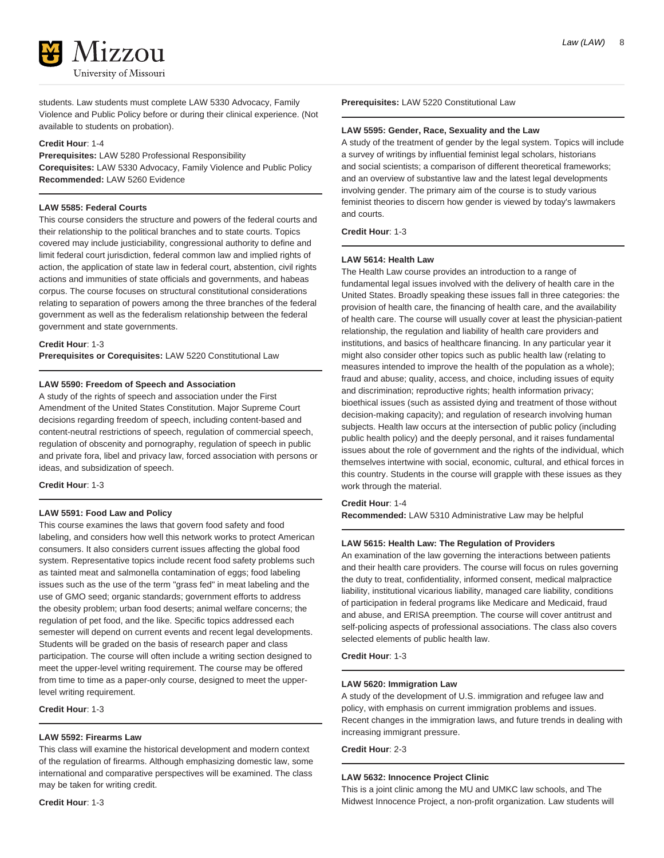

students. Law students must complete LAW 5330 Advocacy, Family Violence and Public Policy before or during their clinical experience. (Not available to students on probation).

#### **Credit Hour**: 1-4

**Prerequisites:** LAW 5280 Professional Responsibility **Corequisites:** LAW 5330 Advocacy, Family Violence and Public Policy **Recommended:** LAW 5260 Evidence

### **LAW 5585: Federal Courts**

This course considers the structure and powers of the federal courts and their relationship to the political branches and to state courts. Topics covered may include justiciability, congressional authority to define and limit federal court jurisdiction, federal common law and implied rights of action, the application of state law in federal court, abstention, civil rights actions and immunities of state officials and governments, and habeas corpus. The course focuses on structural constitutional considerations relating to separation of powers among the three branches of the federal government as well as the federalism relationship between the federal government and state governments.

### **Credit Hour**: 1-3

**Prerequisites or Corequisites:** LAW 5220 Constitutional Law

# **LAW 5590: Freedom of Speech and Association**

A study of the rights of speech and association under the First Amendment of the United States Constitution. Major Supreme Court decisions regarding freedom of speech, including content-based and content-neutral restrictions of speech, regulation of commercial speech, regulation of obscenity and pornography, regulation of speech in public and private fora, libel and privacy law, forced association with persons or ideas, and subsidization of speech.

#### **Credit Hour**: 1-3

# **LAW 5591: Food Law and Policy**

This course examines the laws that govern food safety and food labeling, and considers how well this network works to protect American consumers. It also considers current issues affecting the global food system. Representative topics include recent food safety problems such as tainted meat and salmonella contamination of eggs; food labeling issues such as the use of the term "grass fed" in meat labeling and the use of GMO seed; organic standards; government efforts to address the obesity problem; urban food deserts; animal welfare concerns; the regulation of pet food, and the like. Specific topics addressed each semester will depend on current events and recent legal developments. Students will be graded on the basis of research paper and class participation. The course will often include a writing section designed to meet the upper-level writing requirement. The course may be offered from time to time as a paper-only course, designed to meet the upperlevel writing requirement.

**Credit Hour**: 1-3

# **LAW 5592: Firearms Law**

This class will examine the historical development and modern context of the regulation of firearms. Although emphasizing domestic law, some international and comparative perspectives will be examined. The class may be taken for writing credit.

**Prerequisites:** LAW 5220 Constitutional Law

#### **LAW 5595: Gender, Race, Sexuality and the Law**

A study of the treatment of gender by the legal system. Topics will include a survey of writings by influential feminist legal scholars, historians and social scientists; a comparison of different theoretical frameworks; and an overview of substantive law and the latest legal developments involving gender. The primary aim of the course is to study various feminist theories to discern how gender is viewed by today's lawmakers and courts.

# **Credit Hour**: 1-3

### **LAW 5614: Health Law**

The Health Law course provides an introduction to a range of fundamental legal issues involved with the delivery of health care in the United States. Broadly speaking these issues fall in three categories: the provision of health care, the financing of health care, and the availability of health care. The course will usually cover at least the physician-patient relationship, the regulation and liability of health care providers and institutions, and basics of healthcare financing. In any particular year it might also consider other topics such as public health law (relating to measures intended to improve the health of the population as a whole); fraud and abuse; quality, access, and choice, including issues of equity and discrimination; reproductive rights; health information privacy; bioethical issues (such as assisted dying and treatment of those without decision-making capacity); and regulation of research involving human subjects. Health law occurs at the intersection of public policy (including public health policy) and the deeply personal, and it raises fundamental issues about the role of government and the rights of the individual, which themselves intertwine with social, economic, cultural, and ethical forces in this country. Students in the course will grapple with these issues as they work through the material.

# **Credit Hour**: 1-4

**Recommended:** LAW 5310 Administrative Law may be helpful

### **LAW 5615: Health Law: The Regulation of Providers**

An examination of the law governing the interactions between patients and their health care providers. The course will focus on rules governing the duty to treat, confidentiality, informed consent, medical malpractice liability, institutional vicarious liability, managed care liability, conditions of participation in federal programs like Medicare and Medicaid, fraud and abuse, and ERISA preemption. The course will cover antitrust and self-policing aspects of professional associations. The class also covers selected elements of public health law.

**Credit Hour**: 1-3

# **LAW 5620: Immigration Law**

A study of the development of U.S. immigration and refugee law and policy, with emphasis on current immigration problems and issues. Recent changes in the immigration laws, and future trends in dealing with increasing immigrant pressure.

**Credit Hour**: 2-3

### **LAW 5632: Innocence Project Clinic**

This is a joint clinic among the MU and UMKC law schools, and The Midwest Innocence Project, a non-profit organization. Law students will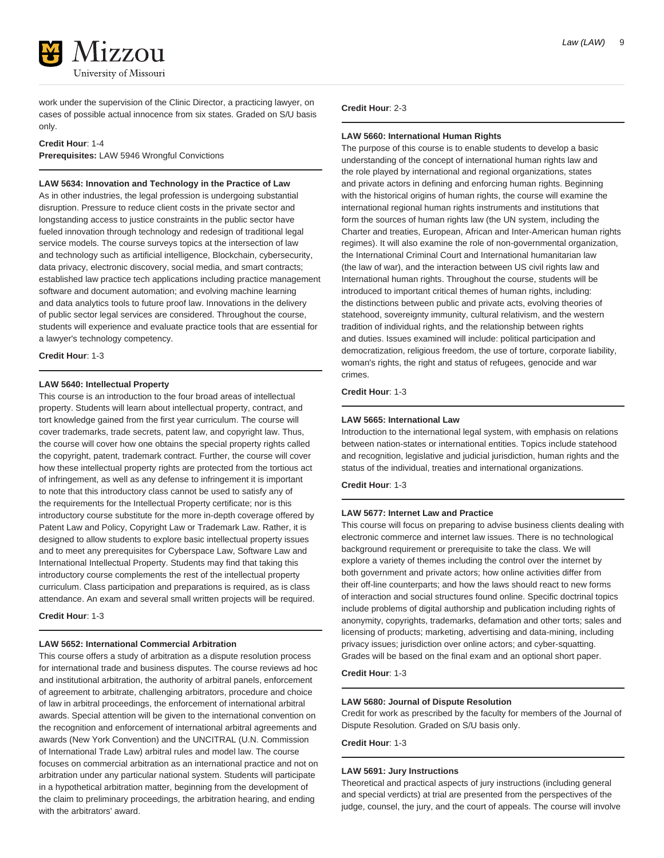

work under the supervision of the Clinic Director, a practicing lawyer, on cases of possible actual innocence from six states. Graded on S/U basis only.

### **Credit Hour**: 1-4

**Prerequisites:** LAW 5946 Wrongful Convictions

### **LAW 5634: Innovation and Technology in the Practice of Law**

As in other industries, the legal profession is undergoing substantial disruption. Pressure to reduce client costs in the private sector and longstanding access to justice constraints in the public sector have fueled innovation through technology and redesign of traditional legal service models. The course surveys topics at the intersection of law and technology such as artificial intelligence, Blockchain, cybersecurity, data privacy, electronic discovery, social media, and smart contracts; established law practice tech applications including practice management software and document automation; and evolving machine learning and data analytics tools to future proof law. Innovations in the delivery of public sector legal services are considered. Throughout the course, students will experience and evaluate practice tools that are essential for a lawyer's technology competency.

**Credit Hour**: 1-3

# **LAW 5640: Intellectual Property**

This course is an introduction to the four broad areas of intellectual property. Students will learn about intellectual property, contract, and tort knowledge gained from the first year curriculum. The course will cover trademarks, trade secrets, patent law, and copyright law. Thus, the course will cover how one obtains the special property rights called the copyright, patent, trademark contract. Further, the course will cover how these intellectual property rights are protected from the tortious act of infringement, as well as any defense to infringement it is important to note that this introductory class cannot be used to satisfy any of the requirements for the Intellectual Property certificate; nor is this introductory course substitute for the more in-depth coverage offered by Patent Law and Policy, Copyright Law or Trademark Law. Rather, it is designed to allow students to explore basic intellectual property issues and to meet any prerequisites for Cyberspace Law, Software Law and International Intellectual Property. Students may find that taking this introductory course complements the rest of the intellectual property curriculum. Class participation and preparations is required, as is class attendance. An exam and several small written projects will be required.

**Credit Hour**: 1-3

# **LAW 5652: International Commercial Arbitration**

This course offers a study of arbitration as a dispute resolution process for international trade and business disputes. The course reviews ad hoc and institutional arbitration, the authority of arbitral panels, enforcement of agreement to arbitrate, challenging arbitrators, procedure and choice of law in arbitral proceedings, the enforcement of international arbitral awards. Special attention will be given to the international convention on the recognition and enforcement of international arbitral agreements and awards (New York Convention) and the UNCITRAL (U.N. Commission of International Trade Law) arbitral rules and model law. The course focuses on commercial arbitration as an international practice and not on arbitration under any particular national system. Students will participate in a hypothetical arbitration matter, beginning from the development of the claim to preliminary proceedings, the arbitration hearing, and ending with the arbitrators' award.

# **Credit Hour**: 2-3

#### **LAW 5660: International Human Rights**

The purpose of this course is to enable students to develop a basic understanding of the concept of international human rights law and the role played by international and regional organizations, states and private actors in defining and enforcing human rights. Beginning with the historical origins of human rights, the course will examine the international regional human rights instruments and institutions that form the sources of human rights law (the UN system, including the Charter and treaties, European, African and Inter-American human rights regimes). It will also examine the role of non-governmental organization, the International Criminal Court and International humanitarian law (the law of war), and the interaction between US civil rights law and International human rights. Throughout the course, students will be introduced to important critical themes of human rights, including: the distinctions between public and private acts, evolving theories of statehood, sovereignty immunity, cultural relativism, and the western tradition of individual rights, and the relationship between rights and duties. Issues examined will include: political participation and democratization, religious freedom, the use of torture, corporate liability, woman's rights, the right and status of refugees, genocide and war crimes.

**Credit Hour**: 1-3

#### **LAW 5665: International Law**

Introduction to the international legal system, with emphasis on relations between nation-states or international entities. Topics include statehood and recognition, legislative and judicial jurisdiction, human rights and the status of the individual, treaties and international organizations.

**Credit Hour**: 1-3

# **LAW 5677: Internet Law and Practice**

This course will focus on preparing to advise business clients dealing with electronic commerce and internet law issues. There is no technological background requirement or prerequisite to take the class. We will explore a variety of themes including the control over the internet by both government and private actors; how online activities differ from their off-line counterparts; and how the laws should react to new forms of interaction and social structures found online. Specific doctrinal topics include problems of digital authorship and publication including rights of anonymity, copyrights, trademarks, defamation and other torts; sales and licensing of products; marketing, advertising and data-mining, including privacy issues; jurisdiction over online actors; and cyber-squatting. Grades will be based on the final exam and an optional short paper.

**Credit Hour**: 1-3

#### **LAW 5680: Journal of Dispute Resolution**

Credit for work as prescribed by the faculty for members of the Journal of Dispute Resolution. Graded on S/U basis only.

**Credit Hour**: 1-3

#### **LAW 5691: Jury Instructions**

Theoretical and practical aspects of jury instructions (including general and special verdicts) at trial are presented from the perspectives of the judge, counsel, the jury, and the court of appeals. The course will involve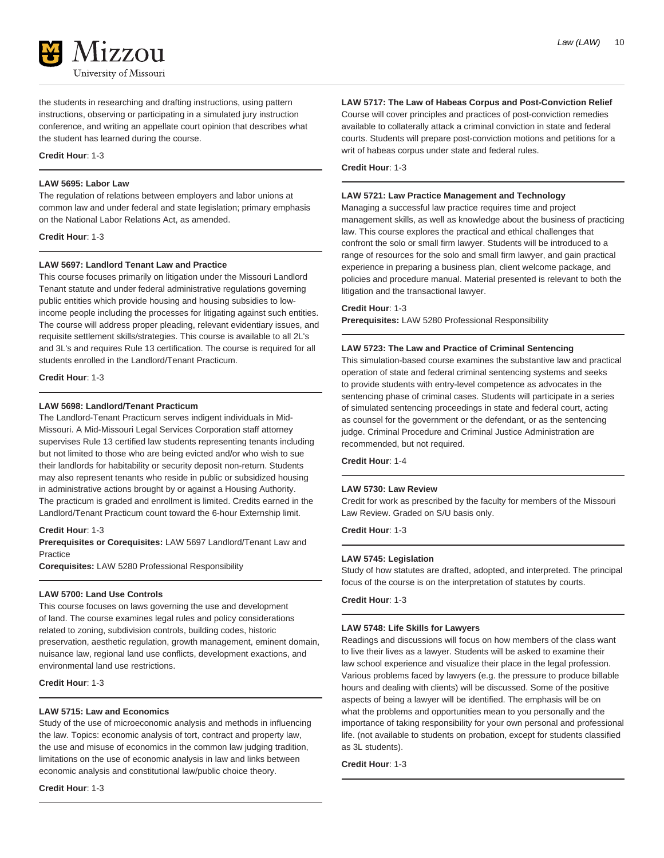

the students in researching and drafting instructions, using pattern instructions, observing or participating in a simulated jury instruction conference, and writing an appellate court opinion that describes what the student has learned during the course.

# **Credit Hour**: 1-3

# **LAW 5695: Labor Law**

The regulation of relations between employers and labor unions at common law and under federal and state legislation; primary emphasis on the National Labor Relations Act, as amended.

**Credit Hour**: 1-3

# **LAW 5697: Landlord Tenant Law and Practice**

This course focuses primarily on litigation under the Missouri Landlord Tenant statute and under federal administrative regulations governing public entities which provide housing and housing subsidies to lowincome people including the processes for litigating against such entities. The course will address proper pleading, relevant evidentiary issues, and requisite settlement skills/strategies. This course is available to all 2L's and 3L's and requires Rule 13 certification. The course is required for all students enrolled in the Landlord/Tenant Practicum.

### **Credit Hour**: 1-3

# **LAW 5698: Landlord/Tenant Practicum**

The Landlord-Tenant Practicum serves indigent individuals in Mid-Missouri. A Mid-Missouri Legal Services Corporation staff attorney supervises Rule 13 certified law students representing tenants including but not limited to those who are being evicted and/or who wish to sue their landlords for habitability or security deposit non-return. Students may also represent tenants who reside in public or subsidized housing in administrative actions brought by or against a Housing Authority. The practicum is graded and enrollment is limited. Credits earned in the Landlord/Tenant Practicum count toward the 6-hour Externship limit.

# **Credit Hour**: 1-3

**Prerequisites or Corequisites:** LAW 5697 Landlord/Tenant Law and Practice

**Corequisites:** LAW 5280 Professional Responsibility

# **LAW 5700: Land Use Controls**

This course focuses on laws governing the use and development of land. The course examines legal rules and policy considerations related to zoning, subdivision controls, building codes, historic preservation, aesthetic regulation, growth management, eminent domain, nuisance law, regional land use conflicts, development exactions, and environmental land use restrictions.

**Credit Hour**: 1-3

# **LAW 5715: Law and Economics**

Study of the use of microeconomic analysis and methods in influencing the law. Topics: economic analysis of tort, contract and property law, the use and misuse of economics in the common law judging tradition, limitations on the use of economic analysis in law and links between economic analysis and constitutional law/public choice theory.

# **Credit Hour**: 1-3

# **LAW 5717: The Law of Habeas Corpus and Post-Conviction Relief**

Course will cover principles and practices of post-conviction remedies available to collaterally attack a criminal conviction in state and federal courts. Students will prepare post-conviction motions and petitions for a writ of habeas corpus under state and federal rules.

**Credit Hour**: 1-3

# **LAW 5721: Law Practice Management and Technology**

Managing a successful law practice requires time and project management skills, as well as knowledge about the business of practicing law. This course explores the practical and ethical challenges that confront the solo or small firm lawyer. Students will be introduced to a range of resources for the solo and small firm lawyer, and gain practical experience in preparing a business plan, client welcome package, and policies and procedure manual. Material presented is relevant to both the litigation and the transactional lawyer.

### **Credit Hour**: 1-3

**Prerequisites:** LAW 5280 Professional Responsibility

### **LAW 5723: The Law and Practice of Criminal Sentencing**

This simulation-based course examines the substantive law and practical operation of state and federal criminal sentencing systems and seeks to provide students with entry-level competence as advocates in the sentencing phase of criminal cases. Students will participate in a series of simulated sentencing proceedings in state and federal court, acting as counsel for the government or the defendant, or as the sentencing judge. Criminal Procedure and Criminal Justice Administration are recommended, but not required.

**Credit Hour**: 1-4

# **LAW 5730: Law Review**

Credit for work as prescribed by the faculty for members of the Missouri Law Review. Graded on S/U basis only.

**Credit Hour**: 1-3

# **LAW 5745: Legislation**

Study of how statutes are drafted, adopted, and interpreted. The principal focus of the course is on the interpretation of statutes by courts.

**Credit Hour**: 1-3

# **LAW 5748: Life Skills for Lawyers**

Readings and discussions will focus on how members of the class want to live their lives as a lawyer. Students will be asked to examine their law school experience and visualize their place in the legal profession. Various problems faced by lawyers (e.g. the pressure to produce billable hours and dealing with clients) will be discussed. Some of the positive aspects of being a lawyer will be identified. The emphasis will be on what the problems and opportunities mean to you personally and the importance of taking responsibility for your own personal and professional life. (not available to students on probation, except for students classified as 3L students).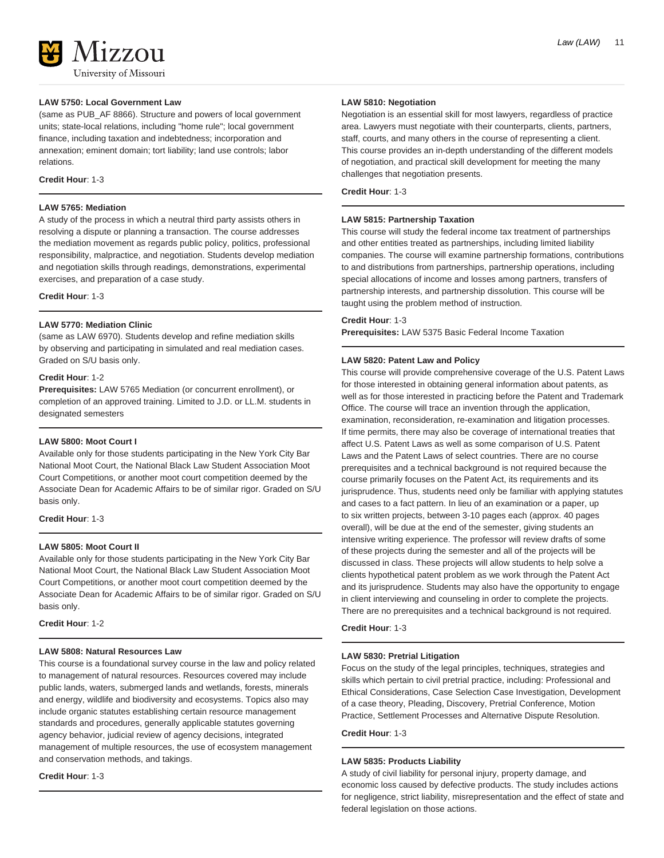# **LAW 5750: Local Government Law**

(same as PUB\_AF 8866). Structure and powers of local government units; state-local relations, including "home rule"; local government finance, including taxation and indebtedness; incorporation and annexation; eminent domain; tort liability; land use controls; labor relations.

# **Credit Hour**: 1-3

# **LAW 5765: Mediation**

A study of the process in which a neutral third party assists others in resolving a dispute or planning a transaction. The course addresses the mediation movement as regards public policy, politics, professional responsibility, malpractice, and negotiation. Students develop mediation and negotiation skills through readings, demonstrations, experimental exercises, and preparation of a case study.

**Credit Hour**: 1-3

# **LAW 5770: Mediation Clinic**

(same as LAW 6970). Students develop and refine mediation skills by observing and participating in simulated and real mediation cases. Graded on S/U basis only.

### **Credit Hour**: 1-2

**Prerequisites:** LAW 5765 Mediation (or concurrent enrollment), or completion of an approved training. Limited to J.D. or LL.M. students in designated semesters

# **LAW 5800: Moot Court I**

Available only for those students participating in the New York City Bar National Moot Court, the National Black Law Student Association Moot Court Competitions, or another moot court competition deemed by the Associate Dean for Academic Affairs to be of similar rigor. Graded on S/U basis only.

# **Credit Hour**: 1-3

# **LAW 5805: Moot Court II**

Available only for those students participating in the New York City Bar National Moot Court, the National Black Law Student Association Moot Court Competitions, or another moot court competition deemed by the Associate Dean for Academic Affairs to be of similar rigor. Graded on S/U basis only.

**Credit Hour**: 1-2

### **LAW 5808: Natural Resources Law**

This course is a foundational survey course in the law and policy related to management of natural resources. Resources covered may include public lands, waters, submerged lands and wetlands, forests, minerals and energy, wildlife and biodiversity and ecosystems. Topics also may include organic statutes establishing certain resource management standards and procedures, generally applicable statutes governing agency behavior, judicial review of agency decisions, integrated management of multiple resources, the use of ecosystem management and conservation methods, and takings.

# **Credit Hour**: 1-3

# **LAW 5810: Negotiation**

Negotiation is an essential skill for most lawyers, regardless of practice area. Lawyers must negotiate with their counterparts, clients, partners, staff, courts, and many others in the course of representing a client. This course provides an in-depth understanding of the different models of negotiation, and practical skill development for meeting the many challenges that negotiation presents.

**Credit Hour**: 1-3

### **LAW 5815: Partnership Taxation**

This course will study the federal income tax treatment of partnerships and other entities treated as partnerships, including limited liability companies. The course will examine partnership formations, contributions to and distributions from partnerships, partnership operations, including special allocations of income and losses among partners, transfers of partnership interests, and partnership dissolution. This course will be taught using the problem method of instruction.

# **Credit Hour**: 1-3

**Prerequisites:** LAW 5375 Basic Federal Income Taxation

# **LAW 5820: Patent Law and Policy**

This course will provide comprehensive coverage of the U.S. Patent Laws for those interested in obtaining general information about patents, as well as for those interested in practicing before the Patent and Trademark Office. The course will trace an invention through the application, examination, reconsideration, re-examination and litigation processes. If time permits, there may also be coverage of international treaties that affect U.S. Patent Laws as well as some comparison of U.S. Patent Laws and the Patent Laws of select countries. There are no course prerequisites and a technical background is not required because the course primarily focuses on the Patent Act, its requirements and its jurisprudence. Thus, students need only be familiar with applying statutes and cases to a fact pattern. In lieu of an examination or a paper, up to six written projects, between 3-10 pages each (approx. 40 pages overall), will be due at the end of the semester, giving students an intensive writing experience. The professor will review drafts of some of these projects during the semester and all of the projects will be discussed in class. These projects will allow students to help solve a clients hypothetical patent problem as we work through the Patent Act and its jurisprudence. Students may also have the opportunity to engage in client interviewing and counseling in order to complete the projects. There are no prerequisites and a technical background is not required.

**Credit Hour**: 1-3

# **LAW 5830: Pretrial Litigation**

Focus on the study of the legal principles, techniques, strategies and skills which pertain to civil pretrial practice, including: Professional and Ethical Considerations, Case Selection Case Investigation, Development of a case theory, Pleading, Discovery, Pretrial Conference, Motion Practice, Settlement Processes and Alternative Dispute Resolution.

**Credit Hour**: 1-3

# **LAW 5835: Products Liability**

A study of civil liability for personal injury, property damage, and economic loss caused by defective products. The study includes actions for negligence, strict liability, misrepresentation and the effect of state and federal legislation on those actions.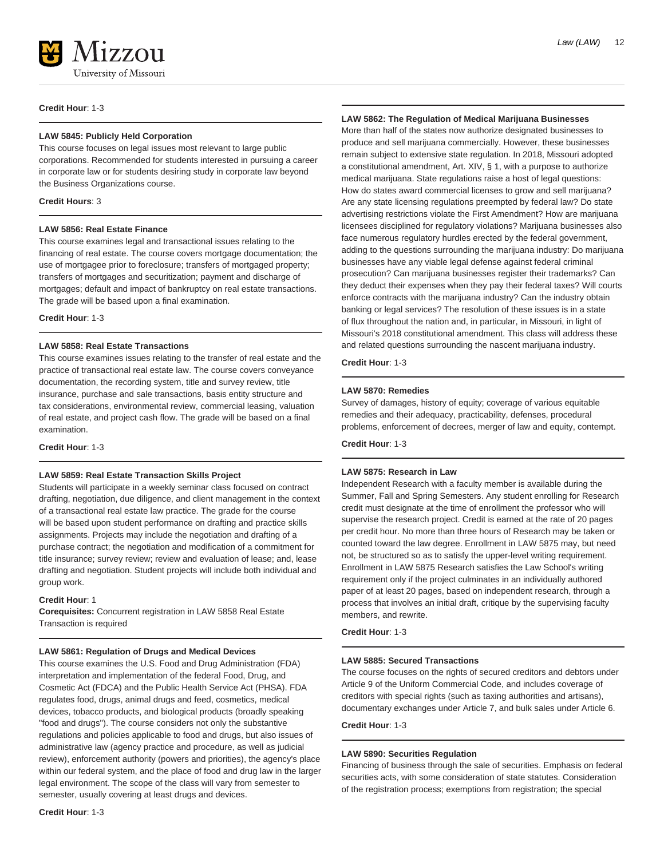

**Credit Hour**: 1-3

# **LAW 5845: Publicly Held Corporation**

This course focuses on legal issues most relevant to large public corporations. Recommended for students interested in pursuing a career in corporate law or for students desiring study in corporate law beyond the Business Organizations course.

# **Credit Hours**: 3

### **LAW 5856: Real Estate Finance**

This course examines legal and transactional issues relating to the financing of real estate. The course covers mortgage documentation; the use of mortgagee prior to foreclosure; transfers of mortgaged property; transfers of mortgages and securitization; payment and discharge of mortgages; default and impact of bankruptcy on real estate transactions. The grade will be based upon a final examination.

**Credit Hour**: 1-3

# **LAW 5858: Real Estate Transactions**

This course examines issues relating to the transfer of real estate and the practice of transactional real estate law. The course covers conveyance documentation, the recording system, title and survey review, title insurance, purchase and sale transactions, basis entity structure and tax considerations, environmental review, commercial leasing, valuation of real estate, and project cash flow. The grade will be based on a final examination.

**Credit Hour**: 1-3

# **LAW 5859: Real Estate Transaction Skills Project**

Students will participate in a weekly seminar class focused on contract drafting, negotiation, due diligence, and client management in the context of a transactional real estate law practice. The grade for the course will be based upon student performance on drafting and practice skills assignments. Projects may include the negotiation and drafting of a purchase contract; the negotiation and modification of a commitment for title insurance; survey review; review and evaluation of lease; and, lease drafting and negotiation. Student projects will include both individual and group work.

# **Credit Hour**: 1

**Corequisites:** Concurrent registration in LAW 5858 Real Estate Transaction is required

#### **LAW 5861: Regulation of Drugs and Medical Devices**

This course examines the U.S. Food and Drug Administration (FDA) interpretation and implementation of the federal Food, Drug, and Cosmetic Act (FDCA) and the Public Health Service Act (PHSA). FDA regulates food, drugs, animal drugs and feed, cosmetics, medical devices, tobacco products, and biological products (broadly speaking "food and drugs"). The course considers not only the substantive regulations and policies applicable to food and drugs, but also issues of administrative law (agency practice and procedure, as well as judicial review), enforcement authority (powers and priorities), the agency's place within our federal system, and the place of food and drug law in the larger legal environment. The scope of the class will vary from semester to semester, usually covering at least drugs and devices.

# **LAW 5862: The Regulation of Medical Marijuana Businesses**

More than half of the states now authorize designated businesses to produce and sell marijuana commercially. However, these businesses remain subject to extensive state regulation. In 2018, Missouri adopted a constitutional amendment, Art. XIV, § 1, with a purpose to authorize medical marijuana. State regulations raise a host of legal questions: How do states award commercial licenses to grow and sell marijuana? Are any state licensing regulations preempted by federal law? Do state advertising restrictions violate the First Amendment? How are marijuana licensees disciplined for regulatory violations? Marijuana businesses also face numerous regulatory hurdles erected by the federal government, adding to the questions surrounding the marijuana industry: Do marijuana businesses have any viable legal defense against federal criminal prosecution? Can marijuana businesses register their trademarks? Can they deduct their expenses when they pay their federal taxes? Will courts enforce contracts with the marijuana industry? Can the industry obtain banking or legal services? The resolution of these issues is in a state of flux throughout the nation and, in particular, in Missouri, in light of Missouri's 2018 constitutional amendment. This class will address these and related questions surrounding the nascent marijuana industry.

**Credit Hour**: 1-3

# **LAW 5870: Remedies**

Survey of damages, history of equity; coverage of various equitable remedies and their adequacy, practicability, defenses, procedural problems, enforcement of decrees, merger of law and equity, contempt.

**Credit Hour**: 1-3

# **LAW 5875: Research in Law**

Independent Research with a faculty member is available during the Summer, Fall and Spring Semesters. Any student enrolling for Research credit must designate at the time of enrollment the professor who will supervise the research project. Credit is earned at the rate of 20 pages per credit hour. No more than three hours of Research may be taken or counted toward the law degree. Enrollment in LAW 5875 may, but need not, be structured so as to satisfy the upper-level writing requirement. Enrollment in LAW 5875 Research satisfies the Law School's writing requirement only if the project culminates in an individually authored paper of at least 20 pages, based on independent research, through a process that involves an initial draft, critique by the supervising faculty members, and rewrite.

**Credit Hour**: 1-3

# **LAW 5885: Secured Transactions**

The course focuses on the rights of secured creditors and debtors under Article 9 of the Uniform Commercial Code, and includes coverage of creditors with special rights (such as taxing authorities and artisans), documentary exchanges under Article 7, and bulk sales under Article 6.

#### **Credit Hour**: 1-3

### **LAW 5890: Securities Regulation**

Financing of business through the sale of securities. Emphasis on federal securities acts, with some consideration of state statutes. Consideration of the registration process; exemptions from registration; the special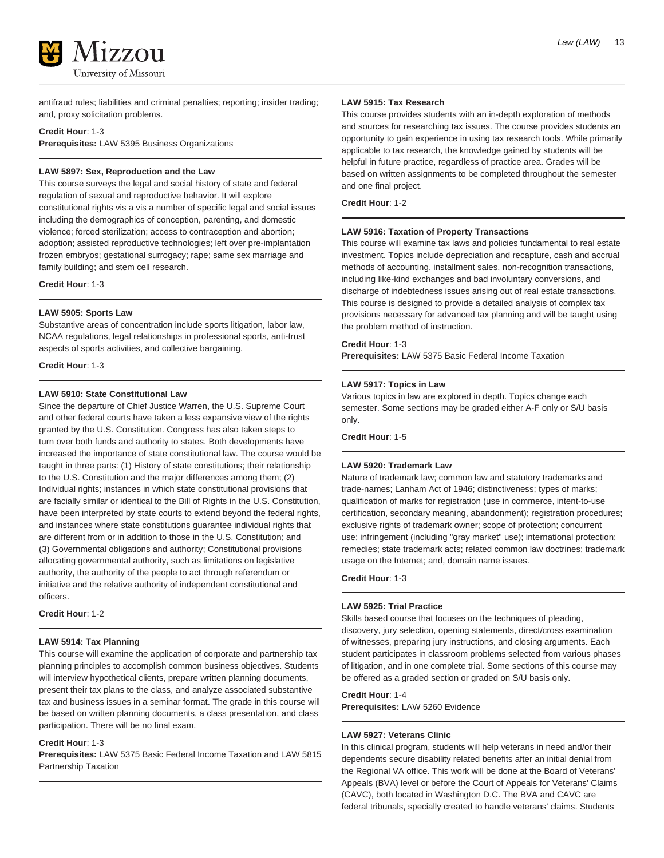

antifraud rules; liabilities and criminal penalties; reporting; insider trading; and, proxy solicitation problems.

### **Credit Hour**: 1-3

**Prerequisites:** LAW 5395 Business Organizations

# **LAW 5897: Sex, Reproduction and the Law**

This course surveys the legal and social history of state and federal regulation of sexual and reproductive behavior. It will explore constitutional rights vis a vis a number of specific legal and social issues including the demographics of conception, parenting, and domestic violence; forced sterilization; access to contraception and abortion; adoption; assisted reproductive technologies; left over pre-implantation frozen embryos; gestational surrogacy; rape; same sex marriage and family building; and stem cell research.

**Credit Hour**: 1-3

# **LAW 5905: Sports Law**

Substantive areas of concentration include sports litigation, labor law, NCAA regulations, legal relationships in professional sports, anti-trust aspects of sports activities, and collective bargaining.

**Credit Hour**: 1-3

# **LAW 5910: State Constitutional Law**

Since the departure of Chief Justice Warren, the U.S. Supreme Court and other federal courts have taken a less expansive view of the rights granted by the U.S. Constitution. Congress has also taken steps to turn over both funds and authority to states. Both developments have increased the importance of state constitutional law. The course would be taught in three parts: (1) History of state constitutions; their relationship to the U.S. Constitution and the major differences among them; (2) Individual rights; instances in which state constitutional provisions that are facially similar or identical to the Bill of Rights in the U.S. Constitution, have been interpreted by state courts to extend beyond the federal rights, and instances where state constitutions guarantee individual rights that are different from or in addition to those in the U.S. Constitution; and (3) Governmental obligations and authority; Constitutional provisions allocating governmental authority, such as limitations on legislative authority, the authority of the people to act through referendum or initiative and the relative authority of independent constitutional and officers.

**Credit Hour**: 1-2

# **LAW 5914: Tax Planning**

This course will examine the application of corporate and partnership tax planning principles to accomplish common business objectives. Students will interview hypothetical clients, prepare written planning documents, present their tax plans to the class, and analyze associated substantive tax and business issues in a seminar format. The grade in this course will be based on written planning documents, a class presentation, and class participation. There will be no final exam.

### **Credit Hour**: 1-3

**Prerequisites:** LAW 5375 Basic Federal Income Taxation and LAW 5815 Partnership Taxation

### **LAW 5915: Tax Research**

This course provides students with an in-depth exploration of methods and sources for researching tax issues. The course provides students an opportunity to gain experience in using tax research tools. While primarily applicable to tax research, the knowledge gained by students will be helpful in future practice, regardless of practice area. Grades will be based on written assignments to be completed throughout the semester and one final project.

# **Credit Hour**: 1-2

# **LAW 5916: Taxation of Property Transactions**

This course will examine tax laws and policies fundamental to real estate investment. Topics include depreciation and recapture, cash and accrual methods of accounting, installment sales, non-recognition transactions, including like-kind exchanges and bad involuntary conversions, and discharge of indebtedness issues arising out of real estate transactions. This course is designed to provide a detailed analysis of complex tax provisions necessary for advanced tax planning and will be taught using the problem method of instruction.

# **Credit Hour**: 1-3

**Prerequisites:** LAW 5375 Basic Federal Income Taxation

#### **LAW 5917: Topics in Law**

Various topics in law are explored in depth. Topics change each semester. Some sections may be graded either A-F only or S/U basis only.

**Credit Hour**: 1-5

# **LAW 5920: Trademark Law**

Nature of trademark law; common law and statutory trademarks and trade-names; Lanham Act of 1946; distinctiveness; types of marks; qualification of marks for registration (use in commerce, intent-to-use certification, secondary meaning, abandonment); registration procedures; exclusive rights of trademark owner; scope of protection; concurrent use; infringement (including "gray market" use); international protection; remedies; state trademark acts; related common law doctrines; trademark usage on the Internet; and, domain name issues.

**Credit Hour**: 1-3

# **LAW 5925: Trial Practice**

Skills based course that focuses on the techniques of pleading, discovery, jury selection, opening statements, direct/cross examination of witnesses, preparing jury instructions, and closing arguments. Each student participates in classroom problems selected from various phases of litigation, and in one complete trial. Some sections of this course may be offered as a graded section or graded on S/U basis only.

# **Credit Hour**: 1-4

**Prerequisites:** LAW 5260 Evidence

### **LAW 5927: Veterans Clinic**

In this clinical program, students will help veterans in need and/or their dependents secure disability related benefits after an initial denial from the Regional VA office. This work will be done at the Board of Veterans' Appeals (BVA) level or before the Court of Appeals for Veterans' Claims (CAVC), both located in Washington D.C. The BVA and CAVC are federal tribunals, specially created to handle veterans' claims. Students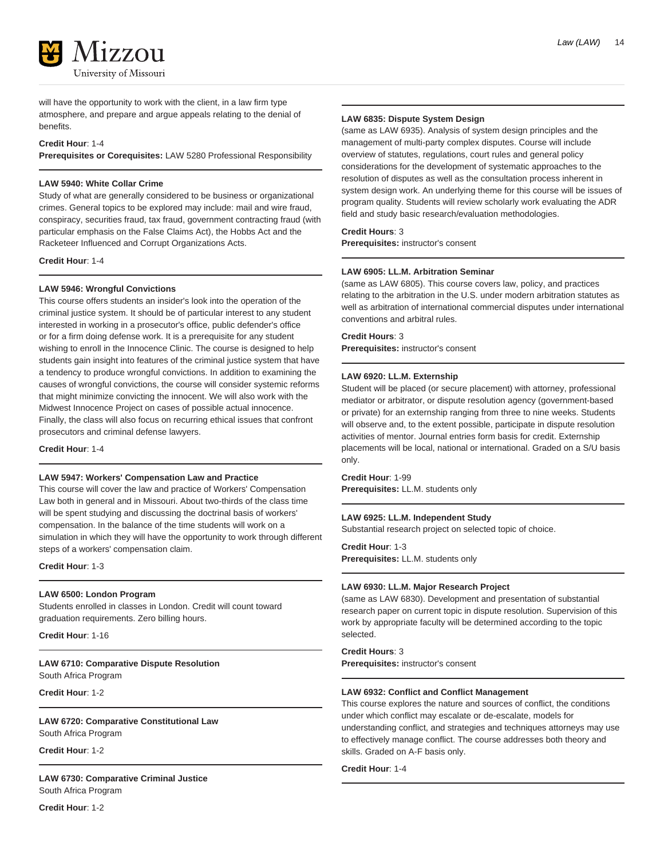

will have the opportunity to work with the client, in a law firm type atmosphere, and prepare and argue appeals relating to the denial of benefits.

# **Credit Hour**: 1-4

**Prerequisites or Corequisites:** LAW 5280 Professional Responsibility

# **LAW 5940: White Collar Crime**

Study of what are generally considered to be business or organizational crimes. General topics to be explored may include: mail and wire fraud, conspiracy, securities fraud, tax fraud, government contracting fraud (with particular emphasis on the False Claims Act), the Hobbs Act and the Racketeer Influenced and Corrupt Organizations Acts.

**Credit Hour**: 1-4

# **LAW 5946: Wrongful Convictions**

This course offers students an insider's look into the operation of the criminal justice system. It should be of particular interest to any student interested in working in a prosecutor's office, public defender's office or for a firm doing defense work. It is a prerequisite for any student wishing to enroll in the Innocence Clinic. The course is designed to help students gain insight into features of the criminal justice system that have a tendency to produce wrongful convictions. In addition to examining the causes of wrongful convictions, the course will consider systemic reforms that might minimize convicting the innocent. We will also work with the Midwest Innocence Project on cases of possible actual innocence. Finally, the class will also focus on recurring ethical issues that confront prosecutors and criminal defense lawyers.

**Credit Hour**: 1-4

### **LAW 5947: Workers' Compensation Law and Practice**

This course will cover the law and practice of Workers' Compensation Law both in general and in Missouri. About two-thirds of the class time will be spent studying and discussing the doctrinal basis of workers' compensation. In the balance of the time students will work on a simulation in which they will have the opportunity to work through different steps of a workers' compensation claim.

**Credit Hour**: 1-3

# **LAW 6500: London Program**

Students enrolled in classes in London. Credit will count toward graduation requirements. Zero billing hours.

**Credit Hour**: 1-16

**LAW 6710: Comparative Dispute Resolution** South Africa Program

**Credit Hour**: 1-2

**LAW 6720: Comparative Constitutional Law**

South Africa Program

**Credit Hour**: 1-2

**LAW 6730: Comparative Criminal Justice** South Africa Program

**LAW 6835: Dispute System Design**

(same as LAW 6935). Analysis of system design principles and the management of multi-party complex disputes. Course will include overview of statutes, regulations, court rules and general policy considerations for the development of systematic approaches to the resolution of disputes as well as the consultation process inherent in system design work. An underlying theme for this course will be issues of program quality. Students will review scholarly work evaluating the ADR field and study basic research/evaluation methodologies.

### **Credit Hours**: 3

**Prerequisites:** instructor's consent

#### **LAW 6905: LL.M. Arbitration Seminar**

(same as LAW 6805). This course covers law, policy, and practices relating to the arbitration in the U.S. under modern arbitration statutes as well as arbitration of international commercial disputes under international conventions and arbitral rules.

### **Credit Hours**: 3

**Prerequisites:** instructor's consent

### **LAW 6920: LL.M. Externship**

Student will be placed (or secure placement) with attorney, professional mediator or arbitrator, or dispute resolution agency (government-based or private) for an externship ranging from three to nine weeks. Students will observe and, to the extent possible, participate in dispute resolution activities of mentor. Journal entries form basis for credit. Externship placements will be local, national or international. Graded on a S/U basis only.

**Credit Hour**: 1-99 **Prerequisites:** LL.M. students only

# **LAW 6925: LL.M. Independent Study**

Substantial research project on selected topic of choice.

**Credit Hour**: 1-3 **Prerequisites:** LL.M. students only

#### **LAW 6930: LL.M. Major Research Project**

(same as LAW 6830). Development and presentation of substantial research paper on current topic in dispute resolution. Supervision of this work by appropriate faculty will be determined according to the topic selected.

**Credit Hours**: 3

**Prerequisites:** instructor's consent

# **LAW 6932: Conflict and Conflict Management**

This course explores the nature and sources of conflict, the conditions under which conflict may escalate or de-escalate, models for understanding conflict, and strategies and techniques attorneys may use to effectively manage conflict. The course addresses both theory and skills. Graded on A-F basis only.

**Credit Hour**: 1-4